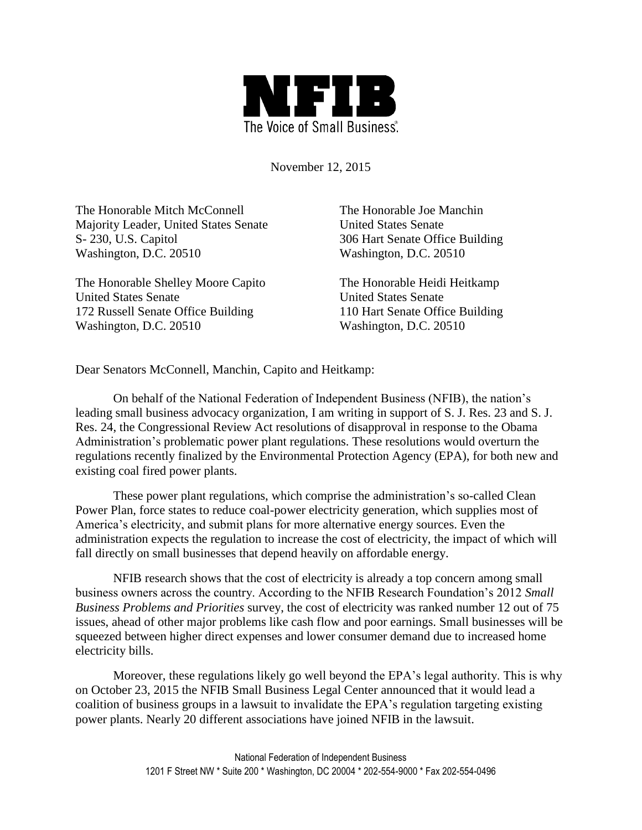

November 12, 2015

The Honorable Mitch McConnell Majority Leader, United States Senate S- 230, U.S. Capitol Washington, D.C. 20510

The Honorable Shelley Moore Capito United States Senate 172 Russell Senate Office Building Washington, D.C. 20510

The Honorable Joe Manchin United States Senate 306 Hart Senate Office Building Washington, D.C. 20510

The Honorable Heidi Heitkamp United States Senate 110 Hart Senate Office Building Washington, D.C. 20510

Dear Senators McConnell, Manchin, Capito and Heitkamp:

On behalf of the National Federation of Independent Business (NFIB), the nation's leading small business advocacy organization, I am writing in support of S. J. Res. 23 and S. J. Res. 24, the Congressional Review Act resolutions of disapproval in response to the Obama Administration's problematic power plant regulations. These resolutions would overturn the regulations recently finalized by the Environmental Protection Agency (EPA), for both new and existing coal fired power plants.

These power plant regulations, which comprise the administration's so-called Clean Power Plan, force states to reduce coal-power electricity generation, which supplies most of America's electricity, and submit plans for more alternative energy sources. Even the administration expects the regulation to increase the cost of electricity, the impact of which will fall directly on small businesses that depend heavily on affordable energy.

[NFIB research](http://www.nfib.com/surveys/uncertainty/) shows that the cost of electricity is already a top concern among small business owners across the country. According to the NFIB Research Foundation's 2012 *Small Business Problems and Priorities* survey, the cost of electricity was ranked number 12 out of 75 issues, ahead of other major problems like cash flow and poor earnings. Small businesses will be squeezed between higher direct expenses and lower consumer demand due to increased home electricity bills.

Moreover, these regulations likely go well beyond the EPA's legal authority. This is why on October 23, 2015 the NFIB Small Business Legal Center announced that it would lead a coalition of business groups in a lawsuit to invalidate the EPA's regulation targeting existing power plants. Nearly 20 different associations have joined NFIB in the lawsuit.